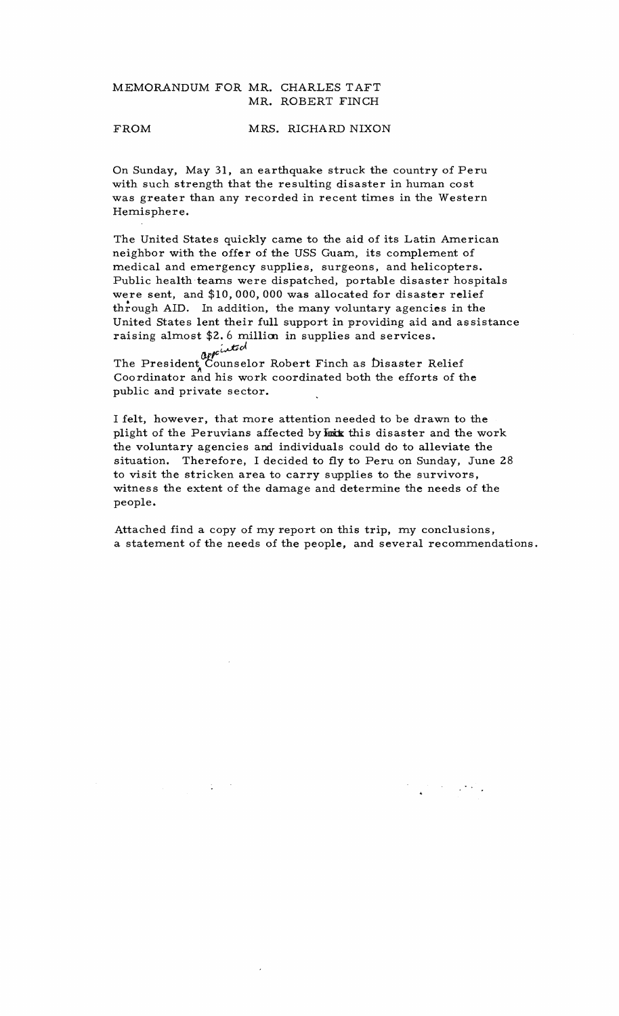## MEMORANDUM FOR MR. CHARLES TAFT MR. ROBERT FINCH

### FROM MRS. RICHARD NIXON

On Sunday, May 31, an earthquake struck the country of Peru with such strength that the resulting disaster in human cost was greater than any recorded in recent times in the Western Hemisphere.

The United States quickly came to the aid of its Latin American neighbor with the offer of the USS Guam, its complement of medical and emergency supplies, surgeons, and helicopters. Public health teams were dispatched, portable disaster hospitals were sent, and  $$10,000,000$  was allocated for disaster relief through AID. In addition, the many voluntary agencies in the United States lent their full support in providing aid and as sistance raising almost \$2.6 millim in supplies and services.

~d *(J,plc* 

÷.

The President Counselor Robert Finch as Disaster Relief Coordinator and his work coordinated both the efforts of the public and private sector.

I felt, however, that more attention needed to be drawn to the plight of the Peruvians affected by hook this disaster and the work the voluntary agencies and individuals could do to alleviate the situation. Therefore, I decided to fly to Peru on Sunday, June 28 to visit the stricken area to carry supplies to the survivors, witness the extent of the damage and determine the needs of the people.

Attached find a copy of my report on this trip. my conclusions, a statement of the needs of the people, and several recommendations.

 $\mathcal{A}=\{x_1,\ldots,x_n\}$  .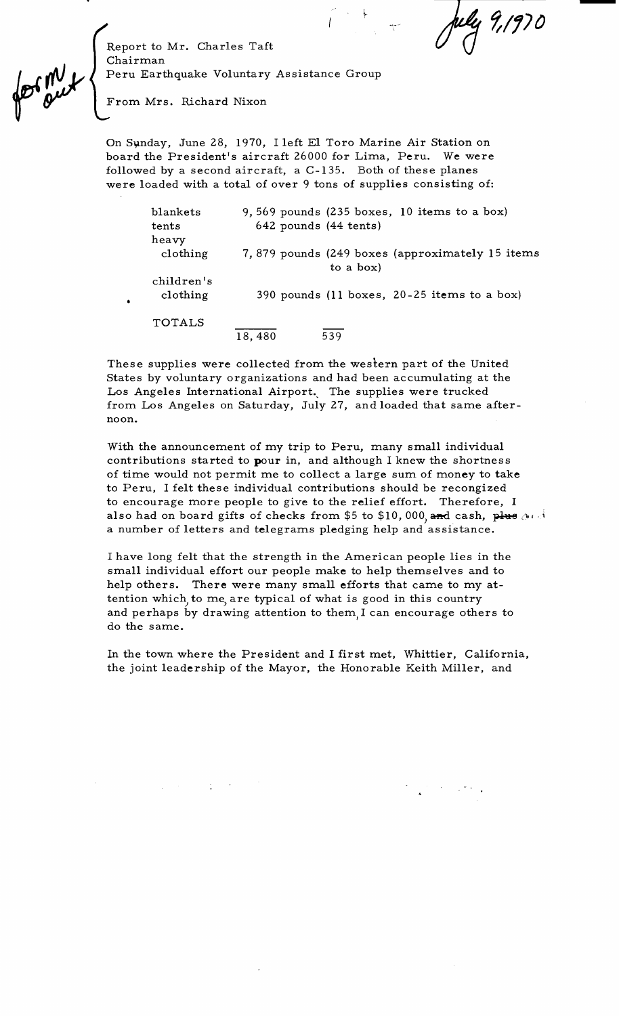Report to Mr. Charles Taft Chairman

Peru Earthquake Voluntary Assistance Group

From. Mrs. Richard Nixon

On Sunday, June 28, 1970, I left El Toro Marine Air Station on board the President's aircraft 26000 for Lima, Peru. We were followed by a second aircraft, a C-135. Both of these planes were loaded with a total of over 9 tons of supplies consisting of:

| blankets   | 9,569 pounds $(235$ boxes, 10 items to a box)    |
|------------|--------------------------------------------------|
| tents      | 642 pounds (44 tents)                            |
| heavy      |                                                  |
| clothing   | 7,879 pounds (249 boxes (approximately 15 items) |
|            | to a box)                                        |
| children's |                                                  |
| clothing   | 390 pounds (11 boxes, 20-25 items to a box)      |
|            |                                                  |
| TOTALS     |                                                  |
|            | 539<br>18,480                                    |

These supplies were collected from the western part of the United States by voluntary organizations and had been accumulating at the Los Angeles International Airport. The supplies were trucked from Los Angeles on Saturday, July 27, and loaded that same afternoon.

With the announcement of my trip to Peru, many small individual contributions started to pour in, and although I knew the shortness of time would not permit me to collect a large sum of money to take to Peru, I felt these individual contributions should be recongized to encourage more people to give to the relief effort. Therefore, I also had on board gifts of checks from \$5 to \$10,000, and cash, plus  $\Delta t$ a number of letters and telegrams pledging help and assistance.

I have long felt that the strength in the American people lies in the small individual effort our people make to help themselves and to help others. There were many small efforts that came to my attention which, to me, are typical of what is good in this country and perhaps by drawing attention to them. I can encourage others to do the same.

In the town where the President and I first met, Whittier, California, the joint leadership of the Mayor, the Honorable Keith Miller, and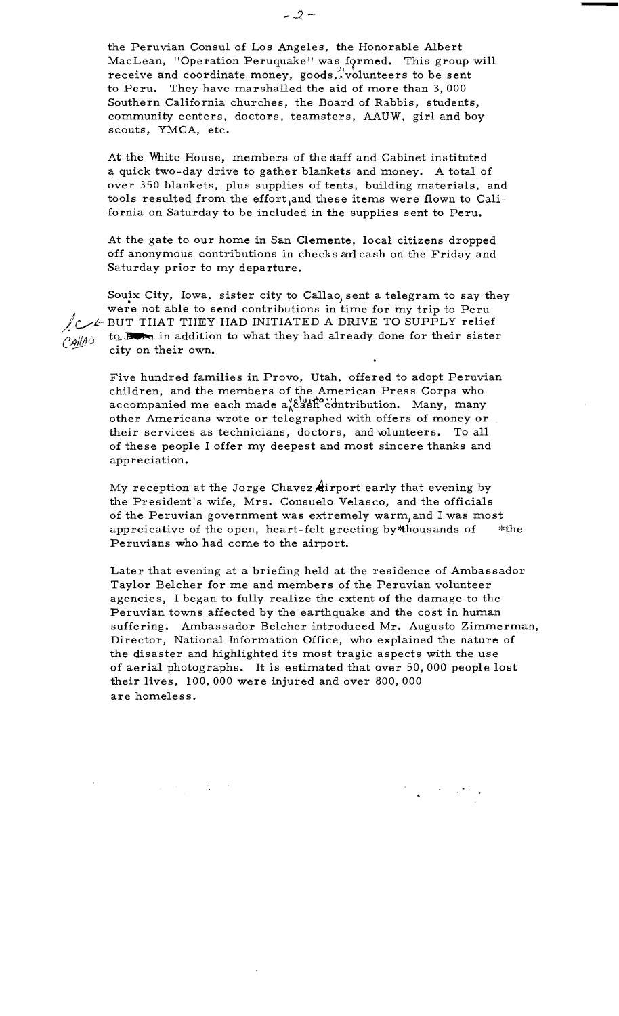the Peruvian Consul of Los Angeles, the Honorable Albert MacLean, "Operation Peruquake" was formed. This group will receive and coordinate money, goods, volunteers to be sent to Peru. They have marshalled the aid of more than 3, 000 Southern California churches, the Board of Rabbis, students, community centers, doctors, teamsters, AAUW, girl and boy scouts, YMCA, etc.

At the White House, members of the taff and Cabinet instituted a quick two-day drive to gather blankets and money. A total of over 350 blankets, plus supplies of tents, building materials, and tools resulted from the effort, and these items were flown to California on Saturday to be included in the supplies sent to Peru.

At the gate to our home in San Clemente, local citizens dropped off anonymous contributions in checks and cash on the Friday and Saturday prior to my departure.

Souix City, Iowa, sister city to Callao, sent a telegram to say they were not able to send contributions in time for my trip to Peru LC-<sup>L</sup> BUT THAT THEY HAD INITIATED A DRIVE TO SUPPLY relief  $C_A||A$  to **Book** in addition to what they had already done for their sister city on their own.

> Five hundred families in Provo, Utah, offered to adopt Peruvian children, and the members of the American Press Corps who accompanied me each made  $a_{\lambda}^{\nu}b_{\lambda}^{\nu}b_{\lambda}^{\nu}c_{\lambda}^{\nu}$  intribution. Many, many other Americans wrote or telegraphed with offers of money or their services as technicians, doctors, and wlunteers. To all of these people I offer my deepest and most sincere thanks and appreciation.

My reception at the Jorge Chavez dirport early that evening by the President's wife, Mrs. Consuelo Velasco, and the officials of the Peruvian government was extremely warm, and I was most appreicative of the open, heart-felt greeting by\*thousands of \*the Peruvians who had come to the airport.

Later that evening at a briefing held at the residence of Ambassador Taylor Belcher for me and members of the Peruvian volunteer agencies, I began to fully realize the extent of the damage to the Peruvian towns affected by the earthquake and the cost in human suffering. Ambassador Belcher introduced **Mr.** Augusto Zimmerman, Director, National Information Office, who explained the nature of the disaster and highlighted its most tragic aspects with the use of aerial photographs. It is estimated that over 50, 000 people lost their lives, 100, 000 were injured and over 800, 000 are homeless.

 $\sim 10^6$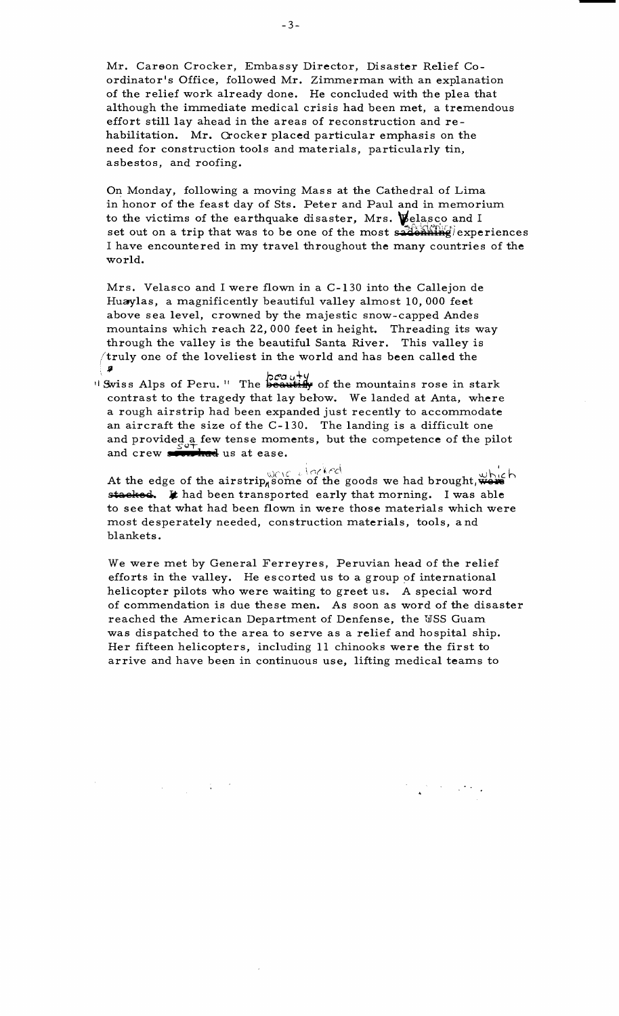Mr. Carson Crocker, Embassy Director, Disaster Relief Coordinator's Office, followed Mr. Zimmerman with an explanation of the relief work already done. He concluded with the plea that although the immediate medical crisis had been met, a tremendous effort still lay ahead in the areas of reconstruction and rehabilitation. Mr. Crocker placed particular emphasis on the need for construction tools and materials, particularly tin, asbestos, and roofing.

On Monday, following a moving Mass at the Cathedral of Lima in honor of the feast day of Sts. Peter and Paul and in memorium to the victims of the earthquake disaster, Mrs.  $\mathcal{V}$ elasco and I set out on a trip that was to be one of the most  $s$ <sup>2</sup> $\overrightarrow{q}$  experiences I have encountered in my travel throughout the many countries of the world.

Mrs. Velasco and I were flown in a C-130 into the Callejon de Huaylas, a magnificently beautiful valley almost 10,000 feet above sea level, crowned by the majestic snow-capped Andes mountains which reach 22,000 feet in height. Threading its way through the valley is the beautiful Santa River. This valley is  $/$ truly one of the loveliest in the world and has been called the . For a set of the contract of the contract of the contract of the contract of the contract of the contract of the contract of the contract of the contract of the contract of the contract of the contract of the contract o

II Swiss Alps of Peru. " The **beautify** of the mountains rose in stark contrast to the tragedy that lay below. We landed at Anta, where a rough airstrip had been expanded just recently to accommodate an aircraft the size of the C-130. The landing is a difficult one and provided a few tense moments, but the competence of the pilot and crew **200 had** us at ease.

At the edge of the airstrip<sub>n</sub> some of the goods we had brought, which stacked. It had been transported early that morning. I was able to see that what had been flown in were those materials which were most desperately needed, construction materials, tools, and blankets.

We were met by General Ferreyres, Peruvian head of the relief efforts in the valley. He escorted us to a group of international helicopter pilots who were waiting to greet us. A special word of commendation is due these men. As soon as word of the disaster reached the American Department of Denfense, the USS Guam was dispatched to the area to serve as a relief and hospital ship. Her fifteen helicopters, including 11 chinooks were the first to arrive and have been in continuous use, lifting medical teams to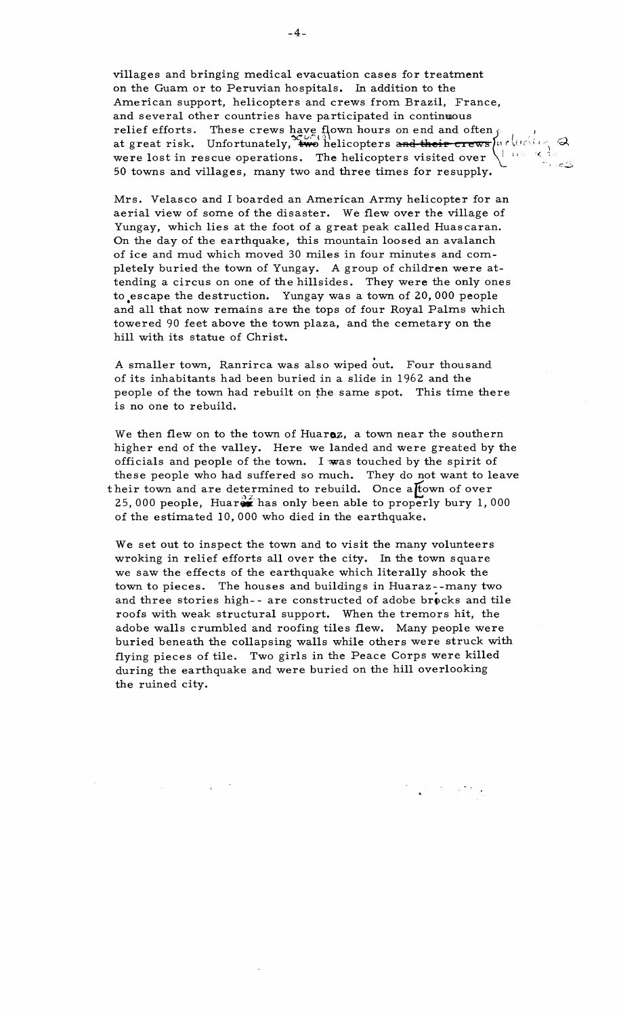villages and bringing medical evacuation cases for treatment on the Guam or to Peruvian hospitals. In addition to the American support, helicopters and crews from Brazil, France, and several other countries have participated in continuous<br>relief efforts. These crews have flown hours on end and often for the at great risk. Unfortunately,  $\frac{2\pi}{100}$  helicopters and their crews  $\mu r \ln(\pi/2)$ <br>were lo

Mrs. Velasco and I boarded an American Army helicopter for an aerial view of some of the disaster. We flew over the village of Yungay, which lies at the foot of a great peak called Huascaran. On the day of the earthquake, this mountain loosed an avalanch of ice and mud which moved 30 miles in four minutes and com pletely buried the town of Yungay. A group of children were at tending a circus on one of the hillsides. They were the only ones to escape the destruction. Yungay was a town of 20,000 people and all that now remains are the tops of four Royal Palms which towered 90 feet above the town plaza, and the cemetary on the hill with its statue of Christ.

A smaller town, Ranrirca was also wiped out. Four thousand of its inhabitants had been buried in a slide in 1962 and the people of the town had rebuilt on the same spot. This time there is no one to rebuild.

We then flew on to the town of Huar $\alpha$ , a town near the southern higher end of the valley. Here we landed and were greated by the officials and people of the town. I was touched by the spirit of these people who had suffered so much. They do not want to leave their town and are determined to rebuild. Once a town of over 25, 000 people, Huaren has only been able to properly bury 1,000 of the estimated 10,000 who died in the earthquake.

We set out to inspect the town and to visit the many volunteers wroking in relief efforts all over the city. In the town square we saw the effects of the earthquake which literally shook the town to pieces. The houses and buildings in Huaraz--many two and three stories high-- are constructed of adobe brocks and tile roofs with weak structural support. When the tremors hit, the adobe walls crumbled and roofing tiles flew. Many people were buried beneath the collapsing walls while others were struck with flying pieces of tile. Two girls in the Peace Corps were killed during the earthquake and were buried on the hill overlooking the ruined city.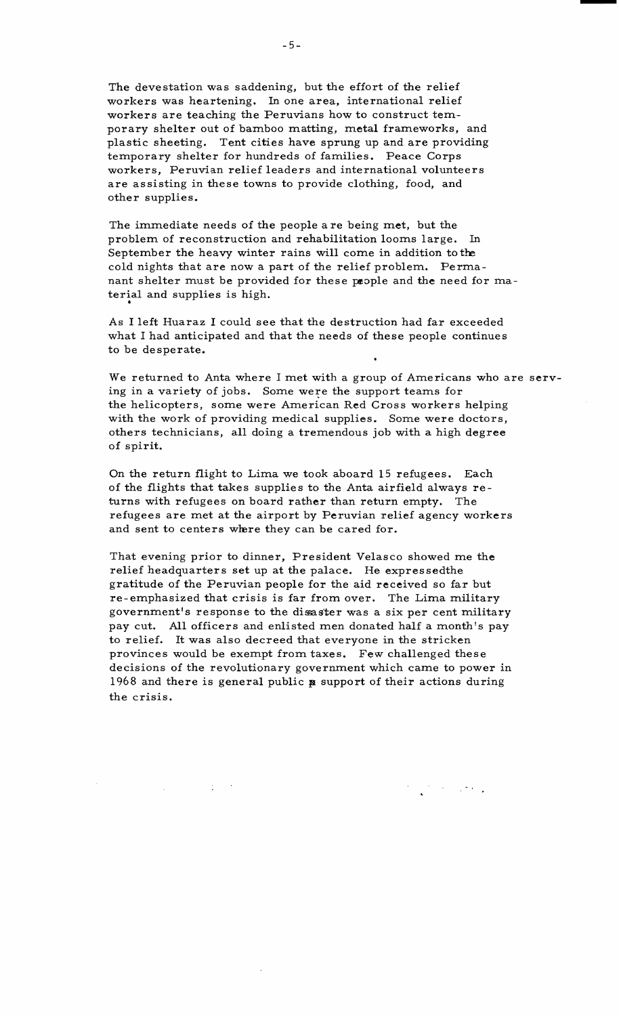The devestation was saddening, but the effort of the relief workers was heartening. In one area, international relief workers are teaching the Peruvians how to construct temporary shelter out of bamboo matting, metal frameworks, and plastic sheeting. Tent cities have sprung up and are providing temporary shelter for hundreds of families. Peace Corps workers, Peruvian relief leaders and international volunteers are assisting in these towns to provide clothing, food, and other supplies.

The immediate needs of the people a re being met, but the problem of reconstruction and rehabilitation looms large. In September the heavy winter rains will come in addition to the cold nights that are now a part of the relief problem. Permanant shelter must be provided for these people and the need for material and supplies is high.

As I left Huaraz I could see that the destruction had far exceeded what I had anticipated and that the needs of these people continues to be desperate.

We returned to Anta where I met with a group of Americans who are serv ing in a variety of jobs. Some were the support teams for the helicopters, some were American Red Cross workers helping with the work of providing medical supplies. Some were doctors, others technicians, all doing a tremendous job with a high degree of spirit.

On the return flight to Lima we took aboard 15 refugees. Each of the flights that takes supplies to the Anta airfield always re turns with refugees on board rather than return empty. The refugees are met at the airport by Peruvian relief agency workers and sent to centers where they can be cared for.

That evening prior to dinner, President Velasco showed me the relief headquarters set up at the palace. He expressedthe gratitude of the Peruvian people for the aid received so far but re-emphasized that crisis is far from over. The Lima military government's response to the disaster was a six per cent military pay cut. All officers and enlisted men donated half a month's pay to relief. It was also decreed that everyone in the stricken provinces would be exempt from taxes. Few challenged these decisions of the revolutionary government which came to power in 1968 and there is general public  $\boldsymbol{p}$  support of their actions during the crisis.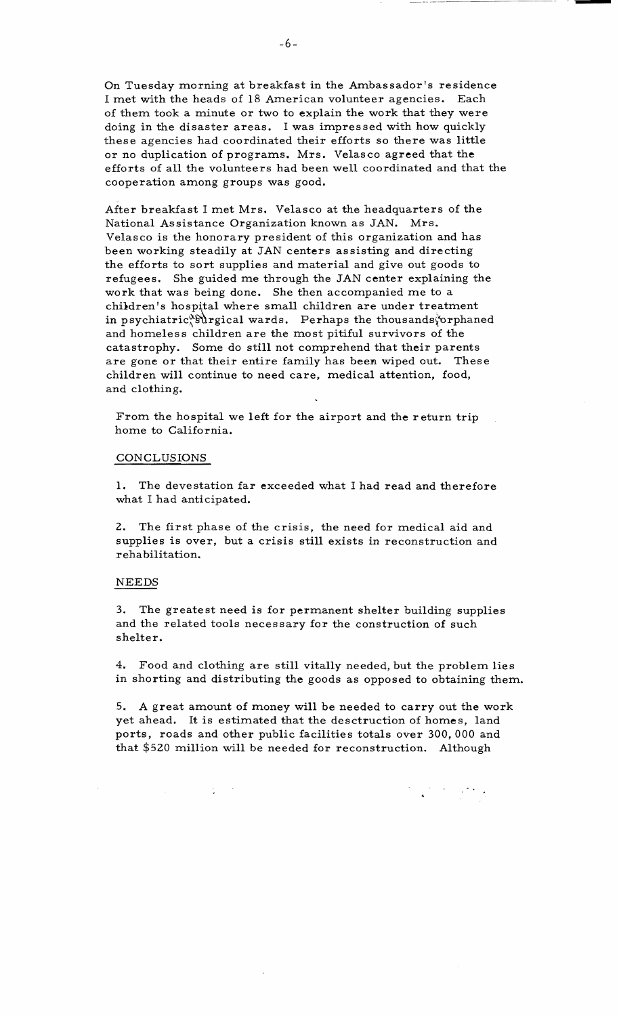On Tuesday morning at breakfast in the Ambassador's residence I met with the heads of 18 American volunteer agencies. Each of them took a minute or two to explain the work that they were doing in the disaster areas. I was impressed with how quickly these agencies had coordinated their efforts so there was little or no duplication of programs. Mrs. Velasco agreed that the efforts of all the volunteers had been well coordinated and that the cooperation among groups was good.

After breakfast I met Mrs. Velasco at the headquarters of the National Assistance Organization known as JAN. Mrs. Velasco is the honorary president of this organization and has been working steadily at JAN centers assisting and directing the efforts to sort supplies and material and give out goods to refugees. She guided me through the JAN center explaining the work that was being done. She then accompanied me to a children's hospital where small children are under treatment in psychiatric<sup>&S</sup>urgical wards. Perhaps the thousands $\phi$ orphaned and homeless children are the most pitiful survivors of the catastrophy. Some do still not comprehend that their parents are gone or that their entire family has been wiped out. These children will continue to need care, medical attention, food, and clothing.

From the hospital we left for the airport and the return trip home to California.

#### CONCLUSIONS

1. The devestation far exceeded what I had read and therefore what I had anticipated.

2. The first phase of the crisis, the need for medical aid and supplies is over, but a crisis still exists in reconstruction and rehabilitation.

#### NEEDS

3. The greatest need is for permanent shelter building supplies and the related tools necessary for the construction of such shelter.

4. Food and clothing are still vitally needed, but the problem lies in shorting and distributing the goods as opposed to obtaining them.

5. A great amount of money will be needed to carry out the work yet ahead. It is estimated that the desctruction of homes, land ports, roads and other public facilities totals over 300, 000 and that \$520 million will be needed for reconstruction. Although